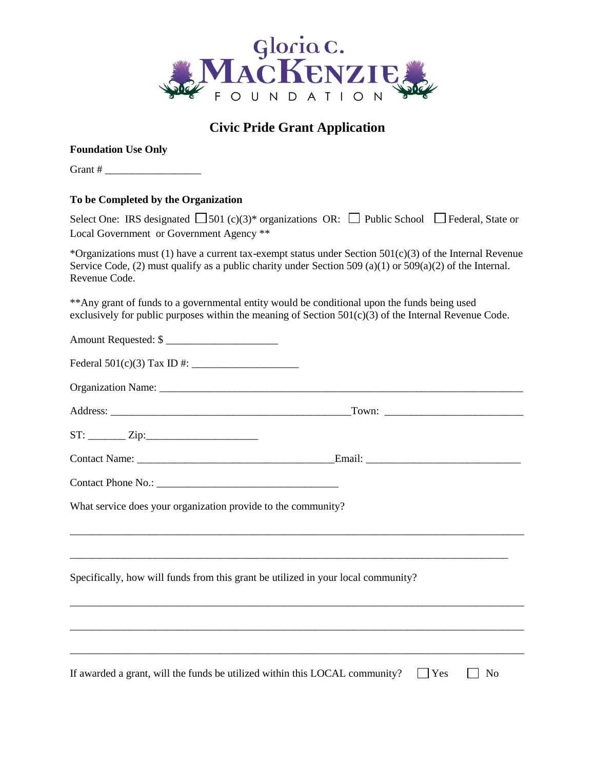

# **Civic Pride Grant Application**

#### **Foundation Use Only**

| Grant # |  |
|---------|--|
|---------|--|

#### **To be Completed by the Organization**

| To be Completed by the Organization                                                                                                                                                                                                        |
|--------------------------------------------------------------------------------------------------------------------------------------------------------------------------------------------------------------------------------------------|
| Select One: IRS designated $\Box$ 501 (c)(3)* organizations OR: $\Box$ Public School $\Box$ Federal, State or<br>Local Government or Government Agency **                                                                                  |
| *Organizations must (1) have a current tax-exempt status under Section $501(c)(3)$ of the Internal Revenue<br>Service Code, (2) must qualify as a public charity under Section 509 (a)(1) or $509(a)(2)$ of the Internal.<br>Revenue Code. |
| ** Any grant of funds to a governmental entity would be conditional upon the funds being used<br>exclusively for public purposes within the meaning of Section 501(c)(3) of the Internal Revenue Code.                                     |
| Amount Requested: \$                                                                                                                                                                                                                       |
|                                                                                                                                                                                                                                            |
|                                                                                                                                                                                                                                            |
|                                                                                                                                                                                                                                            |
|                                                                                                                                                                                                                                            |
|                                                                                                                                                                                                                                            |
|                                                                                                                                                                                                                                            |
| What service does your organization provide to the community?                                                                                                                                                                              |
| Specifically, how will funds from this grant be utilized in your local community?                                                                                                                                                          |
|                                                                                                                                                                                                                                            |
|                                                                                                                                                                                                                                            |
| If awarded a grant, will the funds be utilized within this LOCAL community?<br>  Yes<br>N <sub>0</sub>                                                                                                                                     |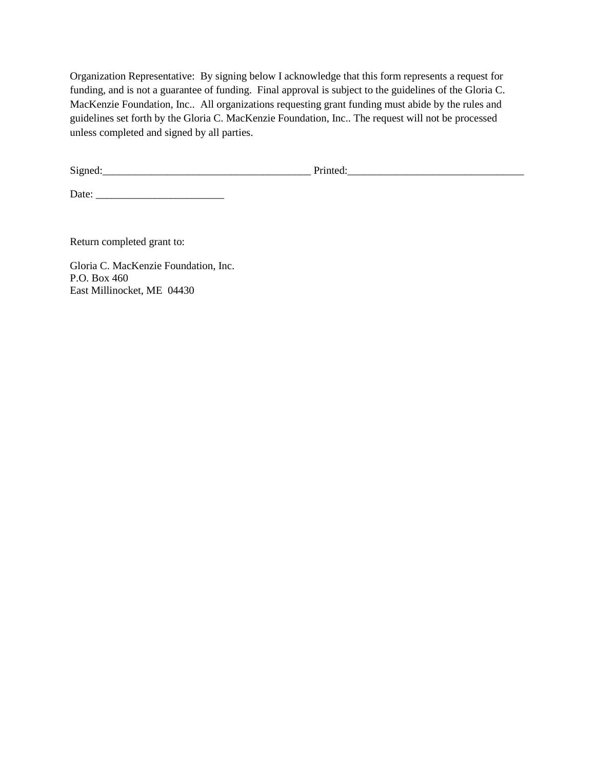Organization Representative: By signing below I acknowledge that this form represents a request for funding, and is not a guarantee of funding. Final approval is subject to the guidelines of the Gloria C. MacKenzie Foundation, Inc.. All organizations requesting grant funding must abide by the rules and guidelines set forth by the Gloria C. MacKenzie Foundation, Inc.. The request will not be processed unless completed and signed by all parties.

Signed:\_\_\_\_\_\_\_\_\_\_\_\_\_\_\_\_\_\_\_\_\_\_\_\_\_\_\_\_\_\_\_\_\_\_\_\_\_\_\_ Printed:\_\_\_\_\_\_\_\_\_\_\_\_\_\_\_\_\_\_\_\_\_\_\_\_\_\_\_\_\_\_\_\_\_

Date: \_\_\_\_\_\_\_\_\_\_\_\_\_\_\_\_\_\_\_\_\_\_\_\_

Return completed grant to:

Gloria C. MacKenzie Foundation, Inc. P.O. Box 460 East Millinocket, ME 04430